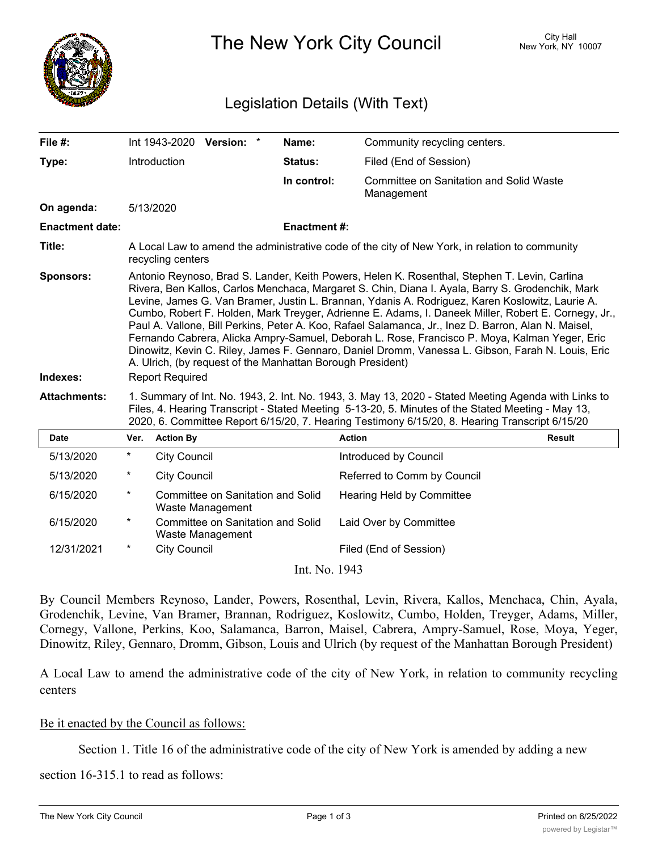

The New York City Council New York, NY 10007

## Legislation Details (With Text)

| File #:                      |                                                                                                                                                                                                                                                                                                                                                                                                                                                                                                                                                                                                                                                                                                                                                                                                                 | Int 1943-2020 Version: * |                                                              |  | Name:              | Community recycling centers.                                 |               |
|------------------------------|-----------------------------------------------------------------------------------------------------------------------------------------------------------------------------------------------------------------------------------------------------------------------------------------------------------------------------------------------------------------------------------------------------------------------------------------------------------------------------------------------------------------------------------------------------------------------------------------------------------------------------------------------------------------------------------------------------------------------------------------------------------------------------------------------------------------|--------------------------|--------------------------------------------------------------|--|--------------------|--------------------------------------------------------------|---------------|
| Type:                        |                                                                                                                                                                                                                                                                                                                                                                                                                                                                                                                                                                                                                                                                                                                                                                                                                 | Introduction             |                                                              |  | <b>Status:</b>     | Filed (End of Session)                                       |               |
|                              |                                                                                                                                                                                                                                                                                                                                                                                                                                                                                                                                                                                                                                                                                                                                                                                                                 |                          |                                                              |  | In control:        | <b>Committee on Sanitation and Solid Waste</b><br>Management |               |
| On agenda:                   |                                                                                                                                                                                                                                                                                                                                                                                                                                                                                                                                                                                                                                                                                                                                                                                                                 | 5/13/2020                |                                                              |  |                    |                                                              |               |
| <b>Enactment date:</b>       |                                                                                                                                                                                                                                                                                                                                                                                                                                                                                                                                                                                                                                                                                                                                                                                                                 |                          |                                                              |  | <b>Enactment#:</b> |                                                              |               |
| Title:                       | A Local Law to amend the administrative code of the city of New York, in relation to community<br>recycling centers                                                                                                                                                                                                                                                                                                                                                                                                                                                                                                                                                                                                                                                                                             |                          |                                                              |  |                    |                                                              |               |
| <b>Sponsors:</b><br>Indexes: | Antonio Reynoso, Brad S. Lander, Keith Powers, Helen K. Rosenthal, Stephen T. Levin, Carlina<br>Rivera, Ben Kallos, Carlos Menchaca, Margaret S. Chin, Diana I. Ayala, Barry S. Grodenchik, Mark<br>Levine, James G. Van Bramer, Justin L. Brannan, Ydanis A. Rodriguez, Karen Koslowitz, Laurie A.<br>Cumbo, Robert F. Holden, Mark Treyger, Adrienne E. Adams, I. Daneek Miller, Robert E. Cornegy, Jr.,<br>Paul A. Vallone, Bill Perkins, Peter A. Koo, Rafael Salamanca, Jr., Inez D. Barron, Alan N. Maisel,<br>Fernando Cabrera, Alicka Ampry-Samuel, Deborah L. Rose, Francisco P. Moya, Kalman Yeger, Eric<br>Dinowitz, Kevin C. Riley, James F. Gennaro, Daniel Dromm, Vanessa L. Gibson, Farah N. Louis, Eric<br>A. Ulrich, (by request of the Manhattan Borough President)<br><b>Report Required</b> |                          |                                                              |  |                    |                                                              |               |
| <b>Attachments:</b>          | 1. Summary of Int. No. 1943, 2. Int. No. 1943, 3. May 13, 2020 - Stated Meeting Agenda with Links to<br>Files, 4. Hearing Transcript - Stated Meeting 5-13-20, 5. Minutes of the Stated Meeting - May 13,<br>2020, 6. Committee Report 6/15/20, 7. Hearing Testimony 6/15/20, 8. Hearing Transcript 6/15/20                                                                                                                                                                                                                                                                                                                                                                                                                                                                                                     |                          |                                                              |  |                    |                                                              |               |
| <b>Date</b>                  | Ver.                                                                                                                                                                                                                                                                                                                                                                                                                                                                                                                                                                                                                                                                                                                                                                                                            | <b>Action By</b>         |                                                              |  |                    | <b>Action</b>                                                | <b>Result</b> |
| 5/13/2020                    | $\star$                                                                                                                                                                                                                                                                                                                                                                                                                                                                                                                                                                                                                                                                                                                                                                                                         | <b>City Council</b>      |                                                              |  |                    | Introduced by Council                                        |               |
| 5/13/2020                    | $\star$                                                                                                                                                                                                                                                                                                                                                                                                                                                                                                                                                                                                                                                                                                                                                                                                         | <b>City Council</b>      |                                                              |  |                    | Referred to Comm by Council                                  |               |
| 6/15/2020                    | $\star$                                                                                                                                                                                                                                                                                                                                                                                                                                                                                                                                                                                                                                                                                                                                                                                                         |                          | Committee on Sanitation and Solid<br>Waste Management        |  |                    | Hearing Held by Committee                                    |               |
| 6/15/2020                    | $\ast$                                                                                                                                                                                                                                                                                                                                                                                                                                                                                                                                                                                                                                                                                                                                                                                                          |                          | <b>Committee on Sanitation and Solid</b><br>Waste Management |  |                    | Laid Over by Committee                                       |               |
| 12/31/2021                   | $^\star$                                                                                                                                                                                                                                                                                                                                                                                                                                                                                                                                                                                                                                                                                                                                                                                                        | <b>City Council</b>      |                                                              |  |                    | Filed (End of Session)                                       |               |
|                              |                                                                                                                                                                                                                                                                                                                                                                                                                                                                                                                                                                                                                                                                                                                                                                                                                 |                          |                                                              |  | Int. No. 1943      |                                                              |               |

By Council Members Reynoso, Lander, Powers, Rosenthal, Levin, Rivera, Kallos, Menchaca, Chin, Ayala, Grodenchik, Levine, Van Bramer, Brannan, Rodriguez, Koslowitz, Cumbo, Holden, Treyger, Adams, Miller, Cornegy, Vallone, Perkins, Koo, Salamanca, Barron, Maisel, Cabrera, Ampry-Samuel, Rose, Moya, Yeger, Dinowitz, Riley, Gennaro, Dromm, Gibson, Louis and Ulrich (by request of the Manhattan Borough President)

A Local Law to amend the administrative code of the city of New York, in relation to community recycling centers

## Be it enacted by the Council as follows:

Section 1. Title 16 of the administrative code of the city of New York is amended by adding a new

section 16-315.1 to read as follows:

 $\mathcal{L}_{\mathcal{A}}$  16-315.1 Community recycling centers. A. The commissioner shall ensure that at least three shall ensure three shall ensure that at least three shall ensure that at least three shall ensure three shall ensur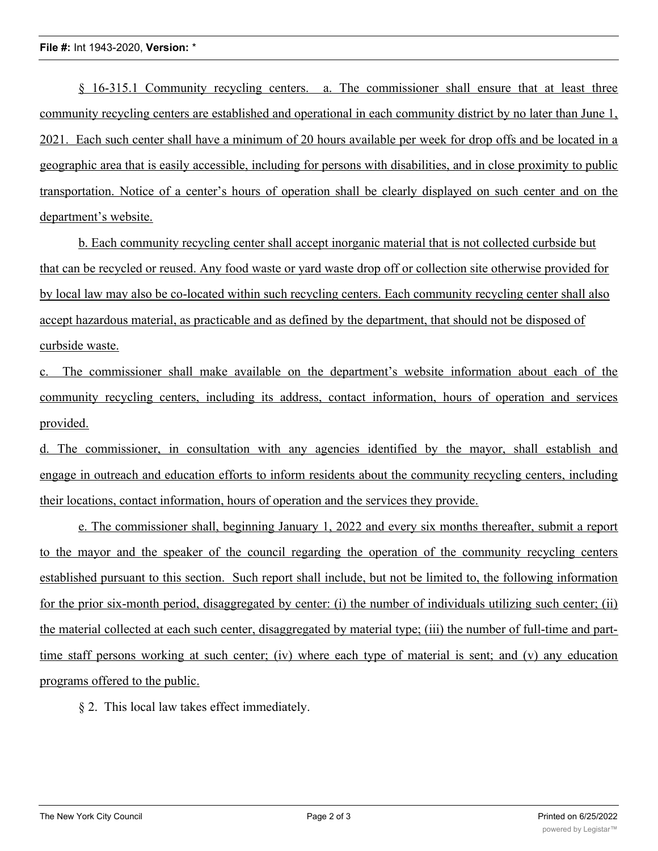§ 16-315.1 Community recycling centers. a. The commissioner shall ensure that at least three community recycling centers are established and operational in each community district by no later than June 1, 2021. Each such center shall have a minimum of 20 hours available per week for drop offs and be located in a geographic area that is easily accessible, including for persons with disabilities, and in close proximity to public transportation. Notice of a center's hours of operation shall be clearly displayed on such center and on the department's website.

b. Each community recycling center shall accept inorganic material that is not collected curbside but that can be recycled or reused. Any food waste or yard waste drop off or collection site otherwise provided for by local law may also be co-located within such recycling centers. Each community recycling center shall also accept hazardous material, as practicable and as defined by the department, that should not be disposed of curbside waste.

c. The commissioner shall make available on the department's website information about each of the community recycling centers, including its address, contact information, hours of operation and services provided.

d. The commissioner, in consultation with any agencies identified by the mayor, shall establish and engage in outreach and education efforts to inform residents about the community recycling centers, including their locations, contact information, hours of operation and the services they provide.

e. The commissioner shall, beginning January 1, 2022 and every six months thereafter, submit a report to the mayor and the speaker of the council regarding the operation of the community recycling centers established pursuant to this section. Such report shall include, but not be limited to, the following information for the prior six-month period, disaggregated by center: (i) the number of individuals utilizing such center; (ii) the material collected at each such center, disaggregated by material type; (iii) the number of full-time and parttime staff persons working at such center; (iv) where each type of material is sent; and (v) any education programs offered to the public.

§ 2. This local law takes effect immediately.